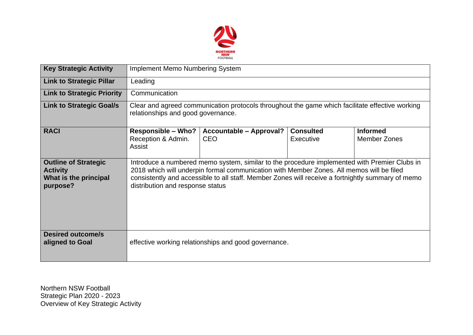

| <b>Key Strategic Activity</b>                                                       | <b>Implement Memo Numbering System</b>                                                                                                                                                                                                                                                                                            |                                              |                               |                                        |  |  |  |
|-------------------------------------------------------------------------------------|-----------------------------------------------------------------------------------------------------------------------------------------------------------------------------------------------------------------------------------------------------------------------------------------------------------------------------------|----------------------------------------------|-------------------------------|----------------------------------------|--|--|--|
| <b>Link to Strategic Pillar</b>                                                     | Leading                                                                                                                                                                                                                                                                                                                           |                                              |                               |                                        |  |  |  |
| <b>Link to Strategic Priority</b>                                                   | Communication                                                                                                                                                                                                                                                                                                                     |                                              |                               |                                        |  |  |  |
| <b>Link to Strategic Goal/s</b>                                                     | Clear and agreed communication protocols throughout the game which facilitate effective working<br>relationships and good governance.                                                                                                                                                                                             |                                              |                               |                                        |  |  |  |
| <b>RACI</b>                                                                         | <b>Responsible - Who?</b><br>Reception & Admin.<br>Assist                                                                                                                                                                                                                                                                         | <b>Accountable - Approval?</b><br><b>CEO</b> | <b>Consulted</b><br>Executive | <b>Informed</b><br><b>Member Zones</b> |  |  |  |
| <b>Outline of Strategic</b><br><b>Activity</b><br>What is the principal<br>purpose? | Introduce a numbered memo system, similar to the procedure implemented with Premier Clubs in<br>2018 which will underpin formal communication with Member Zones. All memos will be filed<br>consistently and accessible to all staff. Member Zones will receive a fortnightly summary of memo<br>distribution and response status |                                              |                               |                                        |  |  |  |
| <b>Desired outcome/s</b><br>aligned to Goal                                         | effective working relationships and good governance.                                                                                                                                                                                                                                                                              |                                              |                               |                                        |  |  |  |

Northern NSW Football Strategic Plan 2020 - 2023 Overview of Key Strategic Activity